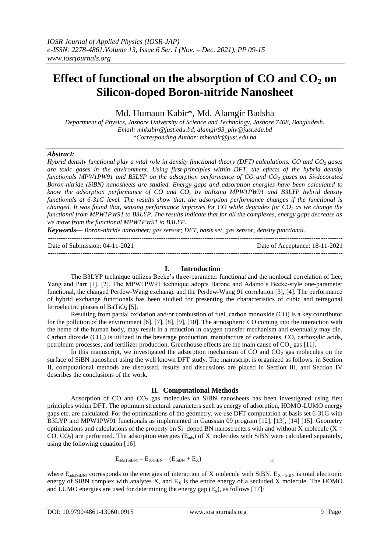# **Effect of functional on the absorption of CO and CO<sup>2</sup> on Silicon-doped Boron-nitride Nanosheet**

Md. Humaun Kabir\*, Md. Alamgir Badsha

*Department of Physics, Jashore University of Science and Technology, Jashore 7408, Bangladesh. Email: mhkabir@just.edu.bd, alamgir93\_phy@just.edu.bd \*Corresponding Author: mhkabir@just.edu.bd*

## *Abstract:*

*Hybrid density functional play a vital role in density functional theory (DFT) calculations. CO and CO<sup>2</sup> gases are toxic gases in the environment. Using first-principles within DFT, the effects of the hybrid density functionals MPW1PW91 and B3LYP on the adsorption performance of CO and CO<sup>2</sup> gases on Si-decorated Boron-nitride (SiBN) nanosheets are studied. Energy gaps and adsorption energies have been calculated to know the adsorption performance of CO and CO<sup>2</sup> by utilizing MPW1PW91 and B3LYP hybrid density functionals at 6-31G level. The results show that, the adsorption performance changes if the functional is changed. It was found that, sensing performance improves for CO while degrades for CO<sup>2</sup> as we change the functional from MPW1PW91 to B3LYP. The results indicate that for all the complexes, energy gaps decrease as we move from the functional MPW1PW91 to B3LYP.*

*Keywords— Boron-nitride nanosheet; gas sensor; DFT, basis set, gas sensor, density functional.*

| Date of Submission: $04-11-2021$ | Date of Acceptance: 18-11-2021 |
|----------------------------------|--------------------------------|
|                                  |                                |

## **I. Introduction**

The B3LYP technique utilizes Becke's three-parameter functional and the nonlocal correlation of Lee, Yang and Parr [1], [2]. The MPW1PW91 technique adopts Barone and Adamo's Becke-style one-parameter functional, the changed Perdew-Wang exchange and the Perdew-Wang 91 correlation [3], [4]. The performance of hybrid exchange functionals has been studied for presenting the characteristics of cubic and tetragonal ferroelectric phases of  $BaTiO<sub>3</sub>$  [5].

Resulting from partial oxidation and/or combustion of fuel, carbon monoxide (CO) is a key contributor for the pollution of the environment [6], [7], [8], [9], [10]. The atmospheric CO coming into the interaction with the heme of the human body, may result in a reduction in oxygen transfer mechanism and eventually may die. Carbon dioxide  $(CO<sub>2</sub>)$  is utilized in the beverage production, manufacture of carbonates, CO, carboxylic acids, petroleum processes, and fertilizer production. Greenhouse effects are the main cause of  $CO<sub>2</sub>$  gas [11].

In this manuscript, we investigated the adsorption mechanism of  $CO$  and  $CO<sub>2</sub>$  gas molecules on the surface of SiBN nanosheet using the well known DFT study. The manuscript is organized as follows: in Section II, computational methods are discussed, results and discussions are placed in Section III, and Section IV describes the conclusions of the work.

# **II. Computational Methods**

Adsorption of CO and  $CO<sub>2</sub>$  gas molecules on SiBN nanosheets has been investigated using first principles within DFT. The optimum structural parameters such as energy of adsorption, HOMO-LUMO energy gaps etc. are calculated. For the optimizations of the geometry, we use DFT computation at basis set 6-31G with B3LYP and MPW1PW91 functionals as implemented in Gaussian 09 program [12], [13], [14] [15]. Geometry optimizations and calculations of the property on Si-doped BN nanostructers with and without X molecule ( $X =$ CO,  $CO_2$ ) are performed. The adsorption energies (E<sub>ads</sub>) of X molecules with SiBN were calculated separately, using the following equation [16]:

$$
E_{ads (SiBN)} = E_{X-SiBN} - (E_{SiBN} + E_X)
$$
\n<sup>(1)</sup>

where  $E_{ads(SiBN)}$  corresponds to the energies of interaction of X molecule with SiBN.  $E_{X}$  -  $_{SiBN}$  is total electronic energy of SiBN complex with analytes  $X$ , and  $E_X$  is the entire energy of a secluded  $X$  molecule. The HOMO and LUMO energies are used for determining the energy gap  $(E_g)$ , as follows [17]: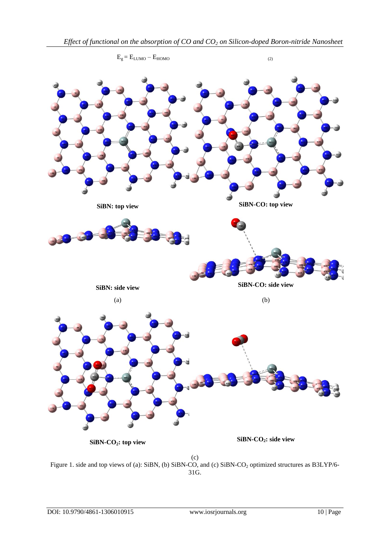

Figure 1. side and top views of (a): SiBN, (b) SiBN-CO, and (c) SiBN-CO<sub>2</sub> optimized structures as B3LYP/6-31G.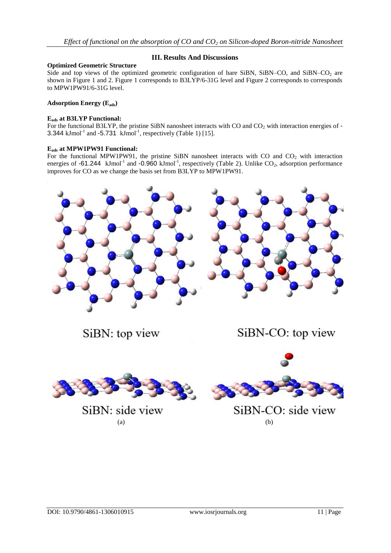# **III. Results And Discussions**

# **Optimized Geometric Structure**

Side and top views of the optimized geometric configuration of bare SiBN, SiBN–CO, and SiBN–CO<sub>2</sub> are shown in Figure 1 and 2. Figure 1 corresponds to B3LYP/6-31G level and Figure 2 corresponds to corresponds to MPW1PW91/6-31G level.

## **Adsorption Energy (Eads)**

## **Eads at B3LYP Functional:**

For the functional B3LYP, the pristine SiBN nanosheet interacts with CO and  $CO<sub>2</sub>$  with interaction energies of -3.344  $kJmol<sup>-1</sup>$  and -5.731  $kJmol<sup>-1</sup>$ , respectively (Table 1) [15].

# **Eads at MPW1PW91 Functional:**

For the functional MPW1PW91, the pristine SiBN nanosheet interacts with CO and  $CO<sub>2</sub>$  with interaction energies of  $-61.244$  kJmol<sup>-1</sup> and  $-0.960$  kJmol<sup>-1</sup>, respectively (Table 2). Unlike CO<sub>2</sub>, adsorption performance improves for CO as we change the basis set from B3LYP to MPW1PW91.



SiBN: top view

SiBN-CO: top view



SiBN: side view  $(a)$  (b)



SiBN-CO: side view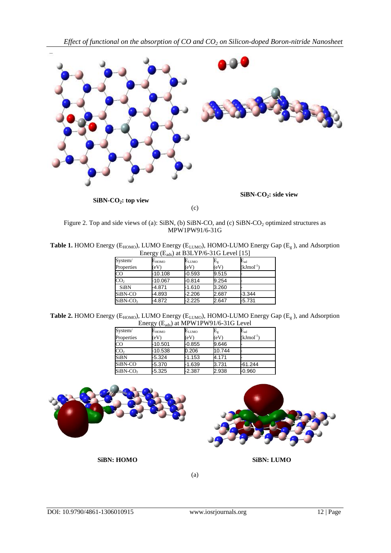

Figure 2. Top and side views of (a): SiBN, (b) SiBN-CO, and (c) SiBN-CO<sub>2</sub> optimized structures as MPW1PW91/6-31G

**Table 1.** HOMO Energy ( $E_{HOMO}$ ), LUMO Energy ( $E_{LUMO}$ ), HOMO-LUMO Energy Gap ( $E_{g}$ ), and Adsorption Energy (E<sub>ads</sub>) at B3LYP/6-31G Level [15]

| System/              | Е <sub>номо</sub> | $\mathsf{E}_{\text{LUMO}}$ | $\mathrm{E_{g}}$ | $\mathbf{E}_{\text{ad}}$ |
|----------------------|-------------------|----------------------------|------------------|--------------------------|
| Properties           | (eV)              | $\rm (eV)$                 | (eV)             | (kJmol <sup>-1</sup> )   |
| <b>CO</b>            | -10.108           | $-0.593$                   | 9.515            |                          |
| CO <sub>2</sub>      | $-10.067$         | $-0.814$                   | 9.254            |                          |
| <b>SiBN</b>          | -4.871            | $-1.610$                   | 3.260            |                          |
| SiBN-CO              | -4.893            | $-2.206$                   | 2.687            | $-3.344$                 |
| SiBN-CO <sub>2</sub> | -4.872            | $-2.225$                   | 2.647            | $-5.731$                 |

**Table 2.** HOMO Energy ( $E_{HOMO}$ ), LUMO Energy ( $E_{LUMO}$ ), HOMO-LUMO Energy Gap ( $E_{g}$ ), and Adsorption Energy  $(E_{ads})$  at MPW1PW91/6-31G Level

| System/                | Е <sub>номо</sub> | $\mathsf{E}_{\text{LUMO}}$ | $E_{\rm g}$ | $\mathsf{E}_{\text{ad}}$ |
|------------------------|-------------------|----------------------------|-------------|--------------------------|
| Properties             | (eV)              | (eV)                       | (eV)        | $(kJmol-1)$              |
| $\overline{\text{CO}}$ | -10.501           | $-0.855$                   | 9.646       |                          |
| CO <sub>2</sub>        | -10.538           | 0.206                      | 10.744      |                          |
| <b>SiBN</b>            | $-5.324$          | $-1.153$                   | 4.171       |                          |
| SiBN-CO                | -5.370            | $-1.639$                   | 3.731       | $-61.244$                |
| SiBN-CO <sub>2</sub>   | $-5.325$          | -2.387                     | 2.938       | $-0.960$                 |



**SiBN: HOMO SiBN: LUMO**

(a)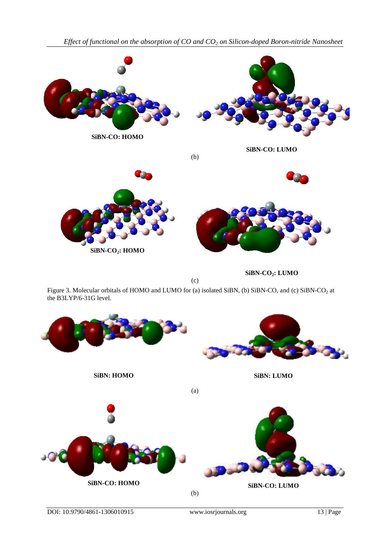



**SiBN-CO2: HOMO**

**SiBN-CO2: LUMO**

Figure 3. Molecular orbitals of HOMO and LUMO for (a) isolated SiBN, (b) SiBN-CO, and (c) SiBN-CO<sub>2</sub> at the B3LYP/6-31G level.

(c)

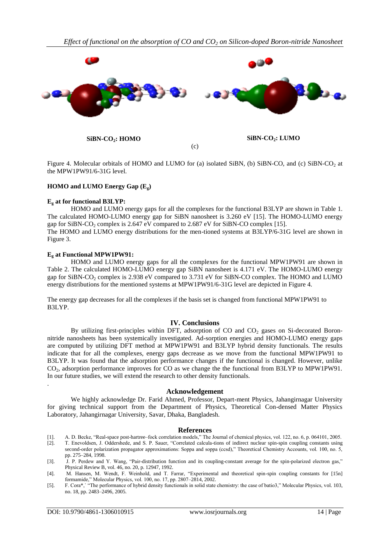

Figure 4. Molecular orbitals of HOMO and LUMO for (a) isolated SiBN, (b) SiBN-CO, and (c) SiBN-CO<sub>2</sub> at the MPW1PW91/6-31G level.

## **HOMO and LUMO Energy Gap (Eg)**

#### **E<sup>g</sup> at for functional B3LYP:**

HOMO and LUMO energy gaps for all the complexes for the functional B3LYP are shown in Table 1. The calculated HOMO-LUMO energy gap for SiBN nanosheet is 3.260 eV [15]. The HOMO-LUMO energy gap for SiBN-CO<sub>2</sub> complex is 2.647 eV compared to 2.687 eV for SiBN-CO complex [15]. The HOMO and LUMO energy distributions for the men-tioned systems at B3LYP/6-31G level are shown in Figure 3.

#### **E<sup>g</sup> at Functional MPW1PW91:**

HOMO and LUMO energy gaps for all the complexes for the functional MPW1PW91 are shown in Table 2. The calculated HOMO-LUMO energy gap SiBN nanosheet is 4.171 eV. The HOMO-LUMO energy gap for SiBN-CO<sub>2</sub> complex is 2.938 eV compared to 3.731 eV for SiBN-CO complex. The HOMO and LUMO energy distributions for the mentioned systems at MPW1PW91/6-31G level are depicted in Figure 4.

The energy gap decreases for all the complexes if the basis set is changed from functional MPW1PW91 to B3LYP.

#### **IV. Conclusions**

By utilizing first-principles within DFT, adsorption of CO and  $CO<sub>2</sub>$  gases on Si-decorated Boronnitride nanosheets has been systemically investigated. Ad-sorption energies and HOMO-LUMO energy gaps are computed by utilizing DFT method at MPW1PW91 and B3LYP hybrid density functionals. The results indicate that for all the complexes, energy gaps decrease as we move from the functional MPW1PW91 to B3LYP. It was found that the adsorption performance changes if the functional is changed. However, unlike CO<sub>2</sub>, adsorption performance improves for CO as we change the the functional from B3LYP to MPW1PW91. In our future studies, we will extend the research to other density functionals.

#### **Acknowledgement**

We highly acknowledge Dr. Farid Ahmed, Professor, Depart-ment Physics, Jahangirnagar University for giving technical support from the Department of Physics, Theoretical Con-densed Matter Physics Laboratory, Jahangirnagar University, Savar, Dhaka, Bangladesh.

#### **References**

- [1]. A. D. Becke, "Real-space post-hartree–fock correlation models," The Journal of chemical physics, vol. 122, no. 6, p. 064101, 2005.
- [2]. T. Enevoldsen, J. Oddershede, and S. P. Sauer, "Correlated calcula-tions of indirect nuclear spin-spin coupling constants using second-order polarization propagator approximations: Soppa and soppa (ccsd)," Theoretical Chemistry Accounts, vol. 100, no. 5, pp. 275–284, 1998.
- [3]. J. P. Perdew and Y. Wang, "Pair-distribution function and its coupling-constant average for the spin-polarized electron gas," Physical Review B, vol. 46, no. 20, p. 12947, 1992.
- [4]. M. Hansen, M. Wendt, F. Weinhold, and T. Farrar, "Experimental and theoretical spin-spin coupling constants for [15n] formamide," Molecular Physics, vol. 100, no. 17, pp. 2807–2814, 2002.
- [5]. F. Cora\*, "The performance of hybrid density functionals in solid state chemistry: the case of batio3," Molecular Physics, vol. 103, no. 18, pp. 2483–2496, 2005.

.